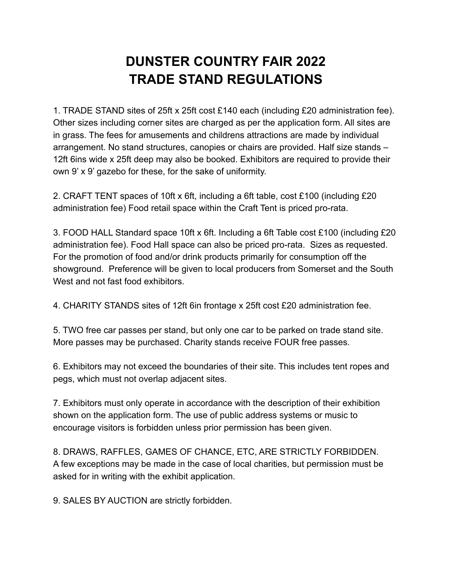## **DUNSTER COUNTRY FAIR 2022 TRADE STAND REGULATIONS**

1. TRADE STAND sites of 25ft x 25ft cost £140 each (including £20 administration fee). Other sizes including corner sites are charged as per the application form. All sites are in grass. The fees for amusements and childrens attractions are made by individual arrangement. No stand structures, canopies or chairs are provided. Half size stands – 12ft 6ins wide x 25ft deep may also be booked. Exhibitors are required to provide their own 9' x 9' gazebo for these, for the sake of uniformity.

2. CRAFT TENT spaces of 10ft x 6ft, including a 6ft table, cost £100 (including £20 administration fee) Food retail space within the Craft Tent is priced pro-rata.

3. FOOD HALL Standard space 10ft x 6ft. Including a 6ft Table cost £100 (including £20 administration fee). Food Hall space can also be priced pro-rata. Sizes as requested. For the promotion of food and/or drink products primarily for consumption off the showground. Preference will be given to local producers from Somerset and the South West and not fast food exhibitors.

4. CHARITY STANDS sites of 12ft 6in frontage x 25ft cost £20 administration fee.

5. TWO free car passes per stand, but only one car to be parked on trade stand site. More passes may be purchased. Charity stands receive FOUR free passes.

6. Exhibitors may not exceed the boundaries of their site. This includes tent ropes and pegs, which must not overlap adjacent sites.

7. Exhibitors must only operate in accordance with the description of their exhibition shown on the application form. The use of public address systems or music to encourage visitors is forbidden unless prior permission has been given.

8. DRAWS, RAFFLES, GAMES OF CHANCE, ETC, ARE STRICTLY FORBIDDEN. A few exceptions may be made in the case of local charities, but permission must be asked for in writing with the exhibit application.

9. SALES BY AUCTION are strictly forbidden.